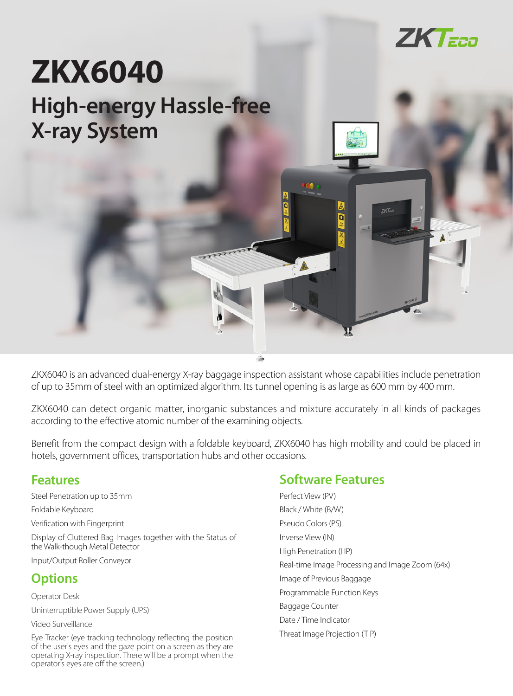

# **High-energy Hassle-free X-ray System ZKX6040**

ZKX6040 is an advanced dual-energy X-ray baggage inspection assistant whose capabilities include penetration of up to 35mm of steel with an optimized algorithm. Its tunnel opening is as large as 600 mm by 400 mm.

ZKX6040 can detect organic matter, inorganic substances and mixture accurately in all kinds of packages according to the effective atomic number of the examining objects.

Benefit from the compact design with a foldable keyboard, ZKX6040 has high mobility and could be placed in hotels, government offices, transportation hubs and other occasions.

#### **Features**

Steel Penetration up to 35mm

Foldable Keyboard

Verification with Fingerprint

Display of Cluttered Bag Images together with the Status of the Walk-though Metal Detector

Input/Output Roller Conveyor

#### **Options**

Operator Desk

Uninterruptible Power Supply (UPS)

Video Surveillance

Eye Tracker (eye tracking technology reflecting the position of the user's eyes and the gaze point on a screen as they are operating X-ray inspection. There will be a prompt when the operator's eyes are off the screen.)

### **Software Features**

Perfect View (PV) Black / White (B/W) Pseudo Colors (PS) Inverse View (IN) High Penetration (HP) Real-time Image Processing and Image Zoom (64x) Image of Previous Baggage Programmable Function Keys Baggage Counter Date / Time Indicator Threat Image Projection (TIP)